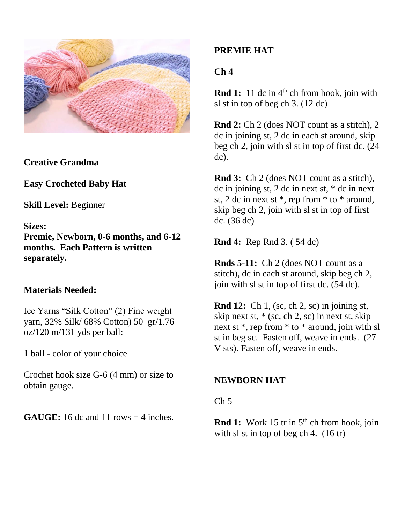

**Creative Grandma**

**Easy Crocheted Baby Hat**

**Skill Level:** Beginner

**Sizes:**

**Premie, Newborn, 0-6 months, and 6-12 months. Each Pattern is written separately.**

## **Materials Needed:**

Ice Yarns "Silk Cotton" (2) Fine weight yarn, 32% Silk/ 68% Cotton) 50 gr/1.76 oz/120 m/131 yds per ball:

1 ball - color of your choice

Crochet hook size G-6 (4 mm) or size to obtain gauge.

**GAUGE:** 16 dc and 11 rows  $=$  4 inches.

# **PREMIE HAT**

# **Ch 4**

**Rnd 1:** 11 dc in 4<sup>th</sup> ch from hook, join with sl st in top of beg ch 3. (12 dc)

**Rnd 2:** Ch 2 (does NOT count as a stitch), 2 dc in joining st, 2 dc in each st around, skip beg ch 2, join with sl st in top of first dc. (24 dc).

**Rnd 3:** Ch 2 (does NOT count as a stitch), dc in joining st, 2 dc in next st, \* dc in next st, 2 dc in next st \*, rep from \* to \* around, skip beg ch 2, join with sl st in top of first dc. (36 dc)

**Rnd 4:** Rep Rnd 3. ( 54 dc)

**Rnds 5-11:** Ch 2 (does NOT count as a stitch), dc in each st around, skip beg ch 2, join with sl st in top of first dc. (54 dc).

**Rnd 12:** Ch 1, (sc, ch 2, sc) in joining st, skip next st,  $*(sc, ch 2, sc)$  in next st, skip next st \*, rep from \* to \* around, join with sl st in beg sc. Fasten off, weave in ends. (27 V sts). Fasten off, weave in ends.

# **NEWBORN HAT**

## $Ch<sub>5</sub>$

**Rnd 1:** Work 15 tr in 5<sup>th</sup> ch from hook, join with sl st in top of beg ch 4. (16 tr)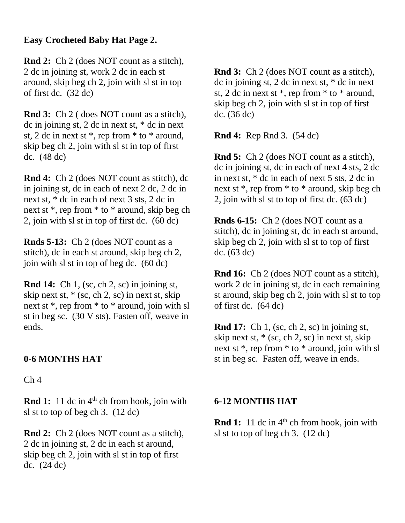## **Easy Crocheted Baby Hat Page 2.**

**Rnd 2:** Ch 2 (does NOT count as a stitch), 2 dc in joining st, work 2 dc in each st around, skip beg ch 2, join with sl st in top of first dc. (32 dc)

**Rnd 3:** Ch 2 ( does NOT count as a stitch), dc in joining st, 2 dc in next st, \* dc in next st, 2 dc in next st \*, rep from \* to \* around, skip beg ch 2, join with sl st in top of first dc. (48 dc)

**Rnd 4:** Ch 2 (does NOT count as stitch), dc in joining st, dc in each of next 2 dc, 2 dc in next st, \* dc in each of next 3 sts, 2 dc in next st \*, rep from \* to \* around, skip beg ch 2, join with sl st in top of first dc. (60 dc)

**Rnds 5-13:** Ch 2 (does NOT count as a stitch), dc in each st around, skip beg ch 2, join with sl st in top of beg dc. (60 dc)

**Rnd 14:** Ch 1, (sc, ch 2, sc) in joining st, skip next st,  $*(sc, ch 2, sc)$  in next st, skip next st \*, rep from \* to \* around, join with sl st in beg sc. (30 V sts). Fasten off, weave in ends.

## **0-6 MONTHS HAT**

 $Ch<sub>4</sub>$ 

**Rnd 1:** 11 dc in 4<sup>th</sup> ch from hook, join with sl st to top of beg ch 3. (12 dc)

**Rnd 2:** Ch 2 (does NOT count as a stitch), 2 dc in joining st, 2 dc in each st around, skip beg ch 2, join with sl st in top of first dc. (24 dc)

**Rnd 3:** Ch 2 (does NOT count as a stitch), dc in joining st, 2 dc in next st, \* dc in next st, 2 dc in next st \*, rep from \* to \* around, skip beg ch 2, join with sl st in top of first dc. (36 dc)

**Rnd 4:** Rep Rnd 3. (54 dc)

**Rnd 5:** Ch 2 (does NOT count as a stitch), dc in joining st, dc in each of next 4 sts, 2 dc in next st, \* dc in each of next 5 sts, 2 dc in next st \*, rep from \* to \* around, skip beg ch 2, join with sl st to top of first dc. (63 dc)

**Rnds 6-15:** Ch 2 (does NOT count as a stitch), dc in joining st, dc in each st around, skip beg ch 2, join with sl st to top of first dc. (63 dc)

**Rnd 16:** Ch 2 (does NOT count as a stitch), work 2 dc in joining st, dc in each remaining st around, skip beg ch 2, join with sl st to top of first dc. (64 dc)

**Rnd 17:** Ch 1, (sc, ch 2, sc) in joining st, skip next st,  $*(sc, ch 2, sc)$  in next st, skip next st \*, rep from \* to \* around, join with sl st in beg sc. Fasten off, weave in ends.

## **6-12 MONTHS HAT**

**Rnd 1:** 11 dc in 4<sup>th</sup> ch from hook, join with sl st to top of beg ch 3. (12 dc)